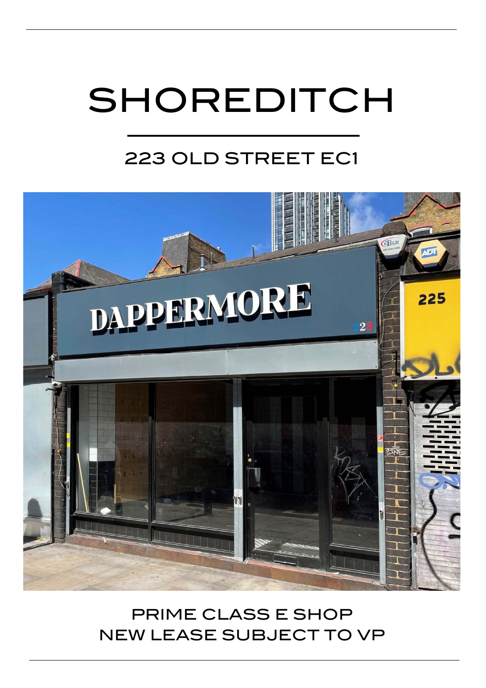# SHOREDITCH

## 223 OLD STREET EC1



## PRIME CLASS E SHOP NEW LEASE SUBJECT TO VP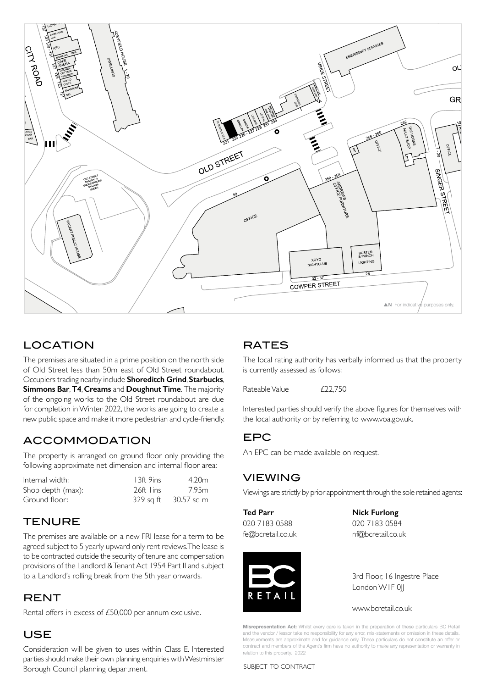

#### LOCATION EXPERIENTIALITY EXPERIENCY.

The premises are situated in a prime position on the north side of Old Street less than 50m east of Old Street roundabout. Occupiers trading nearby include **Shoreditch Grind**, **Starbucks**, **Simmons Bar**, **T4**, **Creams** and **Doughnut Time**. The majority of the ongoing works to the Old Street roundabout are due for completion in Winter 2022, the works are going to create a new public space and make it more pedestrian and cycle-friendly.

#### ACCOMMODATION

The property is arranged on ground floor only providing the following approximate net dimension and internal floor area:

| Internal width:   | 13ft 9ins | 4.20m      |
|-------------------|-----------|------------|
| Shop depth (max): | 26ft lins | 7.95m      |
| Ground floor:     | 329 sa ft | 30.57 sq m |

#### **TENURE**

The premises are available on a new FRI lease for a term to be agreed subject to 5 yearly upward only rent reviews. The lease is to be contracted outside the security of tenure and compensation provisions of the Landlord & Tenant Act 1954 Part II and subject to a Landlord's rolling break from the 5th year onwards.

#### RENT

Rental offers in excess of £50,000 per annum exclusive.

#### USE

Consideration will be given to uses within Class E. Interested parties should make their own planning enquiries with Westminster Borough Council planning department.

#### **RATES**

The local rating authority has verbally informed us that the property is currently assessed as follows:

Rateable Value  $£22,750$ 

Interested parties should verify the above figures for themselves with the local authority or by referring to www.voa.gov.uk.

#### EPC

An EPC can be made available on request.

#### VIEWING

Viewings are strictly by prior appointment through the sole retained agents:

**Ted Parr Nick Furlong** 020 7183 0588 020 7183 0584 fe@bcretail.co.uk nf@bcretail.co.uk



3rd Floor, 16 Ingestre Place London WIF 0||

www.bcretail.co.uk

**Misrepresentation Act:** Whilst every care is taken in the preparation of these particulars BC Retail and the vendor / lessor take no responsibility for any error, mis-statements or omission in these details. Measurements are approximate and for guidance only. These particulars do not constitute an offer or contract and members of the Agent's firm have no authority to make any representation or warranty in relation to this property. 2022

SUBJECT TO CONTRACT